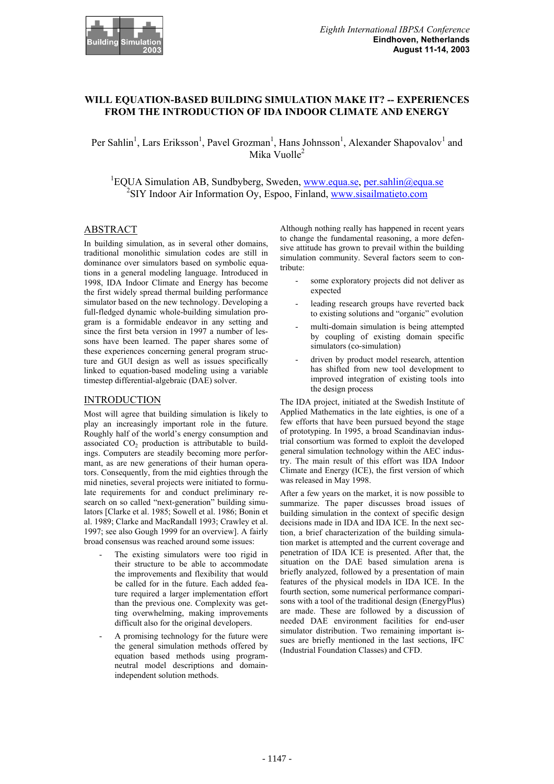

# **WILL EQUATION-BASED BUILDING SIMULATION MAKE IT? -- EXPERIENCES FROM THE INTRODUCTION OF IDA INDOOR CLIMATE AND ENERGY**

Per Sahlin<sup>1</sup>, Lars Eriksson<sup>1</sup>, Pavel Grozman<sup>1</sup>, Hans Johnsson<sup>1</sup>, Alexander Shapovalov<sup>1</sup> and Mika Vuolle $<sup>2</sup>$ </sup>

<sup>1</sup>EQUA Simulation AB, Sundbyberg, Sweden, www.equa.se, per.sahlin@equa.se <sup>2</sup>SIY Indoor Air Information Oy, Espoo, Finland, www.sisailmatieto.com

#### ABSTRACT

In building simulation, as in several other domains, traditional monolithic simulation codes are still in dominance over simulators based on symbolic equations in a general modeling language. Introduced in 1998, IDA Indoor Climate and Energy has become the first widely spread thermal building performance simulator based on the new technology. Developing a full-fledged dynamic whole-building simulation program is a formidable endeavor in any setting and since the first beta version in 1997 a number of lessons have been learned. The paper shares some of these experiences concerning general program structure and GUI design as well as issues specifically linked to equation-based modeling using a variable timestep differential-algebraic (DAE) solver.

#### **INTRODUCTION**

Most will agree that building simulation is likely to play an increasingly important role in the future. Roughly half of the world's energy consumption and associated  $CO<sub>2</sub>$  production is attributable to buildings. Computers are steadily becoming more performant, as are new generations of their human operators. Consequently, from the mid eighties through the mid nineties, several projects were initiated to formulate requirements for and conduct preliminary research on so called "next-generation" building simulators [Clarke et al. 1985; Sowell et al. 1986; Bonin et al. 1989; Clarke and MacRandall 1993; Crawley et al. 1997; see also Gough 1999 for an overview]. A fairly broad consensus was reached around some issues:

- The existing simulators were too rigid in their structure to be able to accommodate the improvements and flexibility that would be called for in the future. Each added feature required a larger implementation effort than the previous one. Complexity was getting overwhelming, making improvements difficult also for the original developers.
- A promising technology for the future were the general simulation methods offered by equation based methods using programneutral model descriptions and domainindependent solution methods.

Although nothing really has happened in recent years to change the fundamental reasoning, a more defensive attitude has grown to prevail within the building simulation community. Several factors seem to contribute:

- some exploratory projects did not deliver as expected
- leading research groups have reverted back to existing solutions and "organic" evolution
- multi-domain simulation is being attempted by coupling of existing domain specific simulators (co-simulation)
- driven by product model research, attention has shifted from new tool development to improved integration of existing tools into the design process

The IDA project, initiated at the Swedish Institute of Applied Mathematics in the late eighties, is one of a few efforts that have been pursued beyond the stage of prototyping. In 1995, a broad Scandinavian industrial consortium was formed to exploit the developed general simulation technology within the AEC industry. The main result of this effort was IDA Indoor Climate and Energy (ICE), the first version of which was released in May 1998.

After a few years on the market, it is now possible to summarize. The paper discusses broad issues of building simulation in the context of specific design decisions made in IDA and IDA ICE. In the next section, a brief characterization of the building simulation market is attempted and the current coverage and penetration of IDA ICE is presented. After that, the situation on the DAE based simulation arena is briefly analyzed, followed by a presentation of main features of the physical models in IDA ICE. In the fourth section, some numerical performance comparisons with a tool of the traditional design (EnergyPlus) are made. These are followed by a discussion of needed DAE environment facilities for end-user simulator distribution. Two remaining important issues are briefly mentioned in the last sections, IFC (Industrial Foundation Classes) and CFD.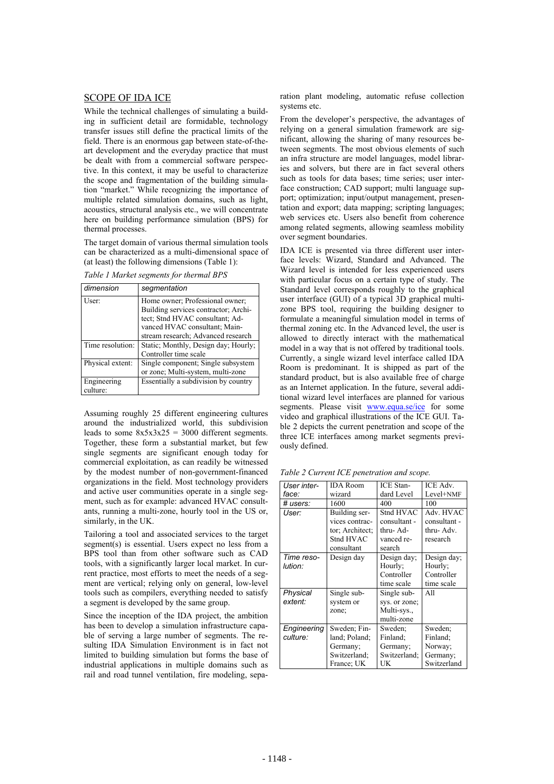## SCOPE OF IDA ICE

While the technical challenges of simulating a building in sufficient detail are formidable, technology transfer issues still define the practical limits of the field. There is an enormous gap between state-of-theart development and the everyday practice that must be dealt with from a commercial software perspective. In this context, it may be useful to characterize the scope and fragmentation of the building simulation "market." While recognizing the importance of multiple related simulation domains, such as light, acoustics, structural analysis etc., we will concentrate here on building performance simulation (BPS) for thermal processes.

The target domain of various thermal simulation tools can be characterized as a multi-dimensional space of (at least) the following dimensions (Table 1):

*Table 1 Market segments for thermal BPS* 

| dimension               | segmentation                                                                                                                                                                      |
|-------------------------|-----------------------------------------------------------------------------------------------------------------------------------------------------------------------------------|
| User:                   | Home owner; Professional owner;<br>Building services contractor; Archi-<br>tect; Stnd HVAC consultant; Ad-<br>vanced HVAC consultant; Main-<br>stream research; Advanced research |
| Time resolution:        | Static; Monthly, Design day; Hourly;<br>Controller time scale                                                                                                                     |
| Physical extent:        | Single component; Single subsystem<br>or zone; Multi-system, multi-zone                                                                                                           |
| Engineering<br>culture: | Essentially a subdivision by country                                                                                                                                              |

Assuming roughly 25 different engineering cultures around the industrialized world, this subdivision leads to some  $8x5x3x25 = 3000$  different segments. Together, these form a substantial market, but few single segments are significant enough today for commercial exploitation, as can readily be witnessed by the modest number of non-government-financed organizations in the field. Most technology providers and active user communities operate in a single segment, such as for example: advanced HVAC consultants, running a multi-zone, hourly tool in the US or, similarly, in the UK.

Tailoring a tool and associated services to the target segment(s) is essential. Users expect no less from a BPS tool than from other software such as CAD tools, with a significantly larger local market. In current practice, most efforts to meet the needs of a segment are vertical; relying only on general, low-level tools such as compilers, everything needed to satisfy a segment is developed by the same group.

Since the inception of the IDA project, the ambition has been to develop a simulation infrastructure capable of serving a large number of segments. The resulting IDA Simulation Environment is in fact not limited to building simulation but forms the base of industrial applications in multiple domains such as rail and road tunnel ventilation, fire modeling, separation plant modeling, automatic refuse collection systems etc.

From the developer's perspective, the advantages of relying on a general simulation framework are significant, allowing the sharing of many resources between segments. The most obvious elements of such an infra structure are model languages, model libraries and solvers, but there are in fact several others such as tools for data bases; time series; user interface construction; CAD support; multi language support; optimization; input/output management, presentation and export; data mapping; scripting languages; web services etc. Users also benefit from coherence among related segments, allowing seamless mobility over segment boundaries.

IDA ICE is presented via three different user interface levels: Wizard, Standard and Advanced. The Wizard level is intended for less experienced users with particular focus on a certain type of study. The Standard level corresponds roughly to the graphical user interface (GUI) of a typical 3D graphical multizone BPS tool, requiring the building designer to formulate a meaningful simulation model in terms of thermal zoning etc. In the Advanced level, the user is allowed to directly interact with the mathematical model in a way that is not offered by traditional tools. Currently, a single wizard level interface called IDA Room is predominant. It is shipped as part of the standard product, but is also available free of charge as an Internet application. In the future, several additional wizard level interfaces are planned for various segments. Please visit www.equa.se/ice for some video and graphical illustrations of the ICE GUI. Table 2 depicts the current penetration and scope of the three ICE interfaces among market segments previously defined.

*Table 2 Current ICE penetration and scope.* 

| User inter- | <b>IDA</b> Room | <b>ICE</b> Stan- | ICE Adv.     |
|-------------|-----------------|------------------|--------------|
| face:       | wizard          | dard Level       | Level+NMF    |
| # users:    | 1600            | 400              | 100          |
| User:       | Building ser-   | Stnd HVAC        | Adv. HVAC    |
|             | vices contrac-  | consultant -     | consultant - |
|             | tor; Architect; | thru-Ad-         | thru-Adv.    |
|             | Stnd HVAC       | vanced re-       | research     |
|             | consultant      | search           |              |
| Time reso-  | Design day      | Design day;      | Design day;  |
| lution:     |                 | Hourly;          | Hourly;      |
|             |                 | Controller       | Controller   |
|             |                 | time scale       | time scale   |
| Physical    | Single sub-     | Single sub-      | All          |
| extent:     | system or       | sys. or zone;    |              |
|             | zone;           | Multi-sys.,      |              |
|             |                 | multi-zone       |              |
| Engineering | Sweden; Fin-    | Sweden:          | Sweden:      |
| culture:    | land: Poland:   | Finland:         | Finland:     |
|             | Germany;        | Germany;         | Norway;      |
|             | Switzerland:    | Switzerland;     | Germany;     |
|             | France: UK      | UK               | Switzerland  |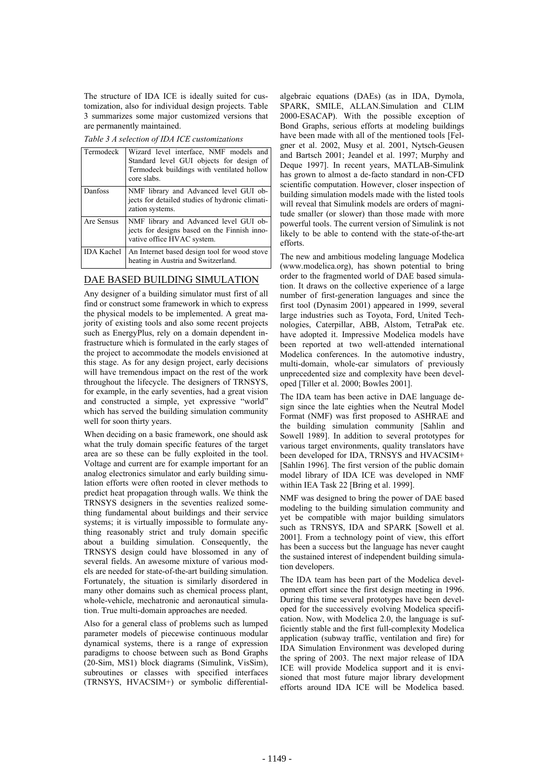The structure of IDA ICE is ideally suited for customization, also for individual design projects. Table 3 summarizes some major customized versions that are permanently maintained.

*Table 3 A selection of IDA ICE customizations* 

| Termodeck         | Wizard level interface, NMF models and<br>Standard level GUI objects for design of<br>Termodeck buildings with ventilated hollow<br>core slabs. |
|-------------------|-------------------------------------------------------------------------------------------------------------------------------------------------|
| Danfoss           | NMF library and Advanced level GUI ob-<br>jects for detailed studies of hydronic climati-<br>zation systems.                                    |
| Are Sensus        | NMF library and Advanced level GUI ob-<br>jects for designs based on the Finnish inno-<br>vative office HVAC system.                            |
| <b>IDA</b> Kachel | An Internet based design tool for wood stove<br>heating in Austria and Switzerland.                                                             |

## DAE BASED BUILDING SIMULATION

Any designer of a building simulator must first of all find or construct some framework in which to express the physical models to be implemented. A great majority of existing tools and also some recent projects such as EnergyPlus, rely on a domain dependent infrastructure which is formulated in the early stages of the project to accommodate the models envisioned at this stage. As for any design project, early decisions will have tremendous impact on the rest of the work throughout the lifecycle. The designers of TRNSYS, for example, in the early seventies, had a great vision and constructed a simple, yet expressive "world" which has served the building simulation community well for soon thirty years.

When deciding on a basic framework, one should ask what the truly domain specific features of the target area are so these can be fully exploited in the tool. Voltage and current are for example important for an analog electronics simulator and early building simulation efforts were often rooted in clever methods to predict heat propagation through walls. We think the TRNSYS designers in the seventies realized something fundamental about buildings and their service systems; it is virtually impossible to formulate anything reasonably strict and truly domain specific about a building simulation. Consequently, the TRNSYS design could have blossomed in any of several fields. An awesome mixture of various models are needed for state-of-the-art building simulation. Fortunately, the situation is similarly disordered in many other domains such as chemical process plant, whole-vehicle, mechatronic and aeronautical simulation. True multi-domain approaches are needed.

Also for a general class of problems such as lumped parameter models of piecewise continuous modular dynamical systems, there is a range of expression paradigms to choose between such as Bond Graphs (20-Sim, MS1) block diagrams (Simulink, VisSim), subroutines or classes with specified interfaces (TRNSYS, HVACSIM+) or symbolic differential-

algebraic equations (DAEs) (as in IDA, Dymola, SPARK, SMILE, ALLAN.Simulation and CLIM 2000-ESACAP). With the possible exception of Bond Graphs, serious efforts at modeling buildings have been made with all of the mentioned tools [Felgner et al. 2002, Musy et al. 2001, Nytsch-Geusen and Bartsch 2001; Jeandel et al. 1997; Murphy and Deque 1997]. In recent years, MATLAB-Simulink has grown to almost a de-facto standard in non-CFD scientific computation. However, closer inspection of building simulation models made with the listed tools will reveal that Simulink models are orders of magnitude smaller (or slower) than those made with more powerful tools. The current version of Simulink is not likely to be able to contend with the state-of-the-art efforts.

The new and ambitious modeling language Modelica (www.modelica.org), has shown potential to bring order to the fragmented world of DAE based simulation. It draws on the collective experience of a large number of first-generation languages and since the first tool (Dynasim 2001) appeared in 1999, several large industries such as Toyota, Ford, United Technologies, Caterpillar, ABB, Alstom, TetraPak etc. have adopted it. Impressive Modelica models have been reported at two well-attended international Modelica conferences. In the automotive industry, multi-domain, whole-car simulators of previously unprecedented size and complexity have been developed [Tiller et al. 2000; Bowles 2001].

The IDA team has been active in DAE language design since the late eighties when the Neutral Model Format (NMF) was first proposed to ASHRAE and the building simulation community [Sahlin and Sowell 1989]. In addition to several prototypes for various target environments, quality translators have been developed for IDA, TRNSYS and HVACSIM+ [Sahlin 1996]. The first version of the public domain model library of IDA ICE was developed in NMF within IEA Task 22 [Bring et al. 1999].

NMF was designed to bring the power of DAE based modeling to the building simulation community and yet be compatible with major building simulators such as TRNSYS, IDA and SPARK [Sowell et al. 2001]. From a technology point of view, this effort has been a success but the language has never caught the sustained interest of independent building simulation developers.

The IDA team has been part of the Modelica development effort since the first design meeting in 1996. During this time several prototypes have been developed for the successively evolving Modelica specification. Now, with Modelica 2.0, the language is sufficiently stable and the first full-complexity Modelica application (subway traffic, ventilation and fire) for IDA Simulation Environment was developed during the spring of 2003. The next major release of IDA ICE will provide Modelica support and it is envisioned that most future major library development efforts around IDA ICE will be Modelica based.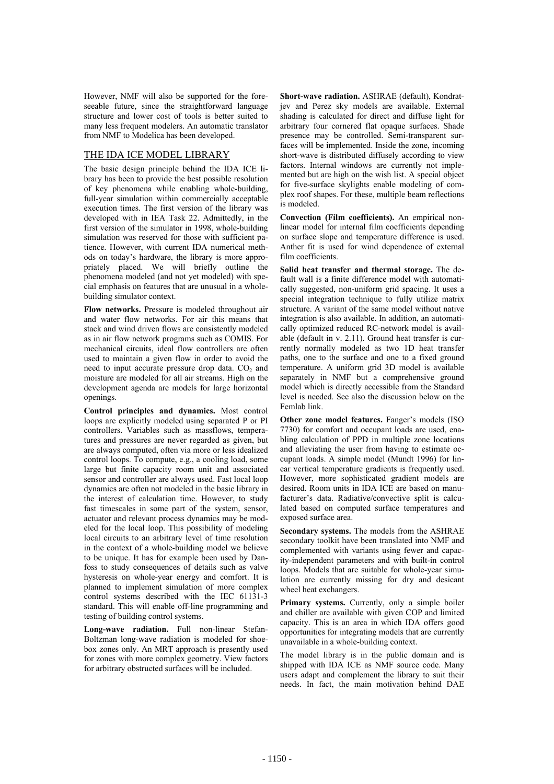However, NMF will also be supported for the foreseeable future, since the straightforward language structure and lower cost of tools is better suited to many less frequent modelers. An automatic translator from NMF to Modelica has been developed.

### THE IDA ICE MODEL LIBRARY

The basic design principle behind the IDA ICE library has been to provide the best possible resolution of key phenomena while enabling whole-building, full-year simulation within commercially acceptable execution times. The first version of the library was developed with in IEA Task 22. Admittedly, in the first version of the simulator in 1998, whole-building simulation was reserved for those with sufficient patience. However, with current IDA numerical methods on today's hardware, the library is more appropriately placed. We will briefly outline the phenomena modeled (and not yet modeled) with special emphasis on features that are unusual in a wholebuilding simulator context.

**Flow networks.** Pressure is modeled throughout air and water flow networks. For air this means that stack and wind driven flows are consistently modeled as in air flow network programs such as COMIS. For mechanical circuits, ideal flow controllers are often used to maintain a given flow in order to avoid the need to input accurate pressure drop data.  $CO<sub>2</sub>$  and moisture are modeled for all air streams. High on the development agenda are models for large horizontal openings.

**Control principles and dynamics.** Most control loops are explicitly modeled using separated P or PI controllers. Variables such as massflows, temperatures and pressures are never regarded as given, but are always computed, often via more or less idealized control loops. To compute, e.g., a cooling load, some large but finite capacity room unit and associated sensor and controller are always used. Fast local loop dynamics are often not modeled in the basic library in the interest of calculation time. However, to study fast timescales in some part of the system, sensor, actuator and relevant process dynamics may be modeled for the local loop. This possibility of modeling local circuits to an arbitrary level of time resolution in the context of a whole-building model we believe to be unique. It has for example been used by Danfoss to study consequences of details such as valve hysteresis on whole-year energy and comfort. It is planned to implement simulation of more complex control systems described with the IEC 61131-3 standard. This will enable off-line programming and testing of building control systems.

**Long-wave radiation.** Full non-linear Stefan-Boltzman long-wave radiation is modeled for shoebox zones only. An MRT approach is presently used for zones with more complex geometry. View factors for arbitrary obstructed surfaces will be included.

**Short-wave radiation.** ASHRAE (default), Kondratjev and Perez sky models are available. External shading is calculated for direct and diffuse light for arbitrary four cornered flat opaque surfaces. Shade presence may be controlled. Semi-transparent surfaces will be implemented. Inside the zone, incoming short-wave is distributed diffusely according to view factors. Internal windows are currently not implemented but are high on the wish list. A special object for five-surface skylights enable modeling of complex roof shapes. For these, multiple beam reflections is modeled.

**Convection (Film coefficients).** An empirical nonlinear model for internal film coefficients depending on surface slope and temperature difference is used. Anther fit is used for wind dependence of external film coefficients.

**Solid heat transfer and thermal storage.** The default wall is a finite difference model with automatically suggested, non-uniform grid spacing. It uses a special integration technique to fully utilize matrix structure. A variant of the same model without native integration is also available. In addition, an automatically optimized reduced RC-network model is available (default in v. 2.11). Ground heat transfer is currently normally modeled as two 1D heat transfer paths, one to the surface and one to a fixed ground temperature. A uniform grid 3D model is available separately in NMF but a comprehensive ground model which is directly accessible from the Standard level is needed. See also the discussion below on the Femlab link.

**Other zone model features.** Fanger's models (ISO 7730) for comfort and occupant loads are used, enabling calculation of PPD in multiple zone locations and alleviating the user from having to estimate occupant loads. A simple model (Mundt 1996) for linear vertical temperature gradients is frequently used. However, more sophisticated gradient models are desired. Room units in IDA ICE are based on manufacturer's data. Radiative/convective split is calculated based on computed surface temperatures and exposed surface area.

**Secondary systems.** The models from the ASHRAE secondary toolkit have been translated into NMF and complemented with variants using fewer and capacity-independent parameters and with built-in control loops. Models that are suitable for whole-year simulation are currently missing for dry and desicant wheel heat exchangers.

Primary systems. Currently, only a simple boiler and chiller are available with given COP and limited capacity. This is an area in which IDA offers good opportunities for integrating models that are currently unavailable in a whole-building context.

The model library is in the public domain and is shipped with IDA ICE as NMF source code. Many users adapt and complement the library to suit their needs. In fact, the main motivation behind DAE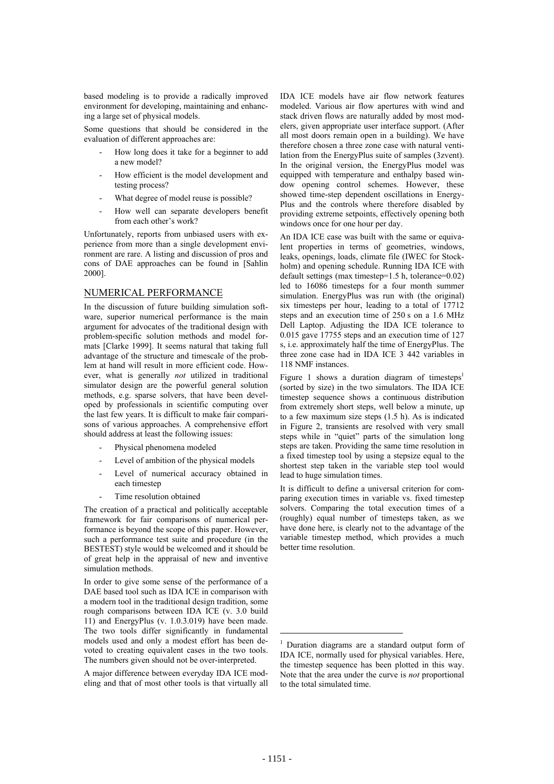based modeling is to provide a radically improved environment for developing, maintaining and enhancing a large set of physical models.

Some questions that should be considered in the evaluation of different approaches are:

- How long does it take for a beginner to add a new model?
- How efficient is the model development and testing process?
- What degree of model reuse is possible?
- How well can separate developers benefit from each other's work?

Unfortunately, reports from unbiased users with experience from more than a single development environment are rare. A listing and discussion of pros and cons of DAE approaches can be found in [Sahlin 2000].

#### NUMERICAL PERFORMANCE

In the discussion of future building simulation software, superior numerical performance is the main argument for advocates of the traditional design with problem-specific solution methods and model formats [Clarke 1999]. It seems natural that taking full advantage of the structure and timescale of the problem at hand will result in more efficient code. However, what is generally *not* utilized in traditional simulator design are the powerful general solution methods, e.g. sparse solvers, that have been developed by professionals in scientific computing over the last few years. It is difficult to make fair comparisons of various approaches. A comprehensive effort should address at least the following issues:

- Physical phenomena modeled
- Level of ambition of the physical models
- Level of numerical accuracy obtained in each timestep
- Time resolution obtained

The creation of a practical and politically acceptable framework for fair comparisons of numerical performance is beyond the scope of this paper. However, such a performance test suite and procedure (in the BESTEST) style would be welcomed and it should be of great help in the appraisal of new and inventive simulation methods.

In order to give some sense of the performance of a DAE based tool such as IDA ICE in comparison with a modern tool in the traditional design tradition, some rough comparisons between IDA ICE (v. 3.0 build 11) and EnergyPlus (v. 1.0.3.019) have been made. The two tools differ significantly in fundamental models used and only a modest effort has been devoted to creating equivalent cases in the two tools. The numbers given should not be over-interpreted.

A major difference between everyday IDA ICE modeling and that of most other tools is that virtually all IDA ICE models have air flow network features modeled. Various air flow apertures with wind and stack driven flows are naturally added by most modelers, given appropriate user interface support. (After all most doors remain open in a building). We have therefore chosen a three zone case with natural ventilation from the EnergyPlus suite of samples (3zvent). In the original version, the EnergyPlus model was equipped with temperature and enthalpy based window opening control schemes. However, these showed time-step dependent oscillations in Energy-Plus and the controls where therefore disabled by providing extreme setpoints, effectively opening both windows once for one hour per day.

An IDA ICE case was built with the same or equivalent properties in terms of geometries, windows, leaks, openings, loads, climate file (IWEC for Stockholm) and opening schedule. Running IDA ICE with default settings (max timestep=1.5 h, tolerance=0.02) led to 16086 timesteps for a four month summer simulation. EnergyPlus was run with (the original) six timesteps per hour, leading to a total of 17712 steps and an execution time of 250 s on a 1.6 MHz Dell Laptop. Adjusting the IDA ICE tolerance to 0.015 gave 17755 steps and an execution time of 127 s, i.e. approximately half the time of EnergyPlus. The three zone case had in IDA ICE 3 442 variables in 118 NMF instances.

Figure 1 shows a duration diagram of timesteps<sup>1</sup> (sorted by size) in the two simulators. The IDA ICE timestep sequence shows a continuous distribution from extremely short steps, well below a minute, up to a few maximum size steps (1.5 h). As is indicated in Figure 2, transients are resolved with very small steps while in "quiet" parts of the simulation long steps are taken. Providing the same time resolution in a fixed timestep tool by using a stepsize equal to the shortest step taken in the variable step tool would lead to huge simulation times.

It is difficult to define a universal criterion for comparing execution times in variable vs. fixed timestep solvers. Comparing the total execution times of a (roughly) equal number of timesteps taken, as we have done here, is clearly not to the advantage of the variable timestep method, which provides a much better time resolution.

 $\overline{a}$ 

<sup>1</sup> Duration diagrams are a standard output form of IDA ICE, normally used for physical variables. Here, the timestep sequence has been plotted in this way. Note that the area under the curve is *not* proportional to the total simulated time.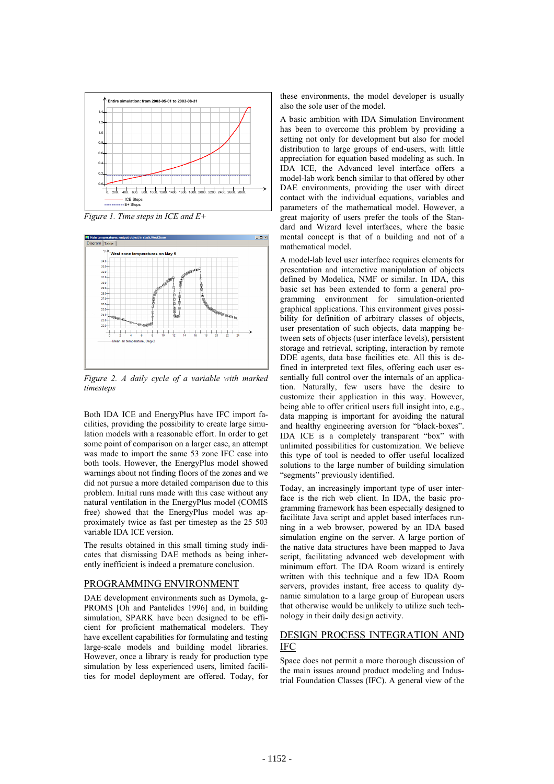

*Figure 1. Time steps in ICE and E+* 



*Figure 2. A daily cycle of a variable with marked timesteps* 

Both IDA ICE and EnergyPlus have IFC import facilities, providing the possibility to create large simulation models with a reasonable effort. In order to get some point of comparison on a larger case, an attempt was made to import the same 53 zone IFC case into both tools. However, the EnergyPlus model showed warnings about not finding floors of the zones and we did not pursue a more detailed comparison due to this problem. Initial runs made with this case without any natural ventilation in the EnergyPlus model (COMIS free) showed that the EnergyPlus model was approximately twice as fast per timestep as the 25 503 variable IDA ICE version.

The results obtained in this small timing study indicates that dismissing DAE methods as being inherently inefficient is indeed a premature conclusion.

#### PROGRAMMING ENVIRONMENT

DAE development environments such as Dymola, g-PROMS [Oh and Pantelides 1996] and, in building simulation, SPARK have been designed to be efficient for proficient mathematical modelers. They have excellent capabilities for formulating and testing large-scale models and building model libraries. However, once a library is ready for production type simulation by less experienced users, limited facilities for model deployment are offered. Today, for these environments, the model developer is usually also the sole user of the model.

A basic ambition with IDA Simulation Environment has been to overcome this problem by providing a setting not only for development but also for model distribution to large groups of end-users, with little appreciation for equation based modeling as such. In IDA ICE, the Advanced level interface offers a model-lab work bench similar to that offered by other DAE environments, providing the user with direct contact with the individual equations, variables and parameters of the mathematical model. However, a great majority of users prefer the tools of the Standard and Wizard level interfaces, where the basic mental concept is that of a building and not of a mathematical model.

A model-lab level user interface requires elements for presentation and interactive manipulation of objects defined by Modelica, NMF or similar. In IDA, this basic set has been extended to form a general programming environment for simulation-oriented graphical applications. This environment gives possibility for definition of arbitrary classes of objects, user presentation of such objects, data mapping between sets of objects (user interface levels), persistent storage and retrieval, scripting, interaction by remote DDE agents, data base facilities etc. All this is defined in interpreted text files, offering each user essentially full control over the internals of an application. Naturally, few users have the desire to customize their application in this way. However, being able to offer critical users full insight into, e.g., data mapping is important for avoiding the natural and healthy engineering aversion for "black-boxes". IDA ICE is a completely transparent "box" with unlimited possibilities for customization. We believe this type of tool is needed to offer useful localized solutions to the large number of building simulation "segments" previously identified.

Today, an increasingly important type of user interface is the rich web client. In IDA, the basic programming framework has been especially designed to facilitate Java script and applet based interfaces running in a web browser, powered by an IDA based simulation engine on the server. A large portion of the native data structures have been mapped to Java script, facilitating advanced web development with minimum effort. The IDA Room wizard is entirely written with this technique and a few IDA Room servers, provides instant, free access to quality dynamic simulation to a large group of European users that otherwise would be unlikely to utilize such technology in their daily design activity.

## DESIGN PROCESS INTEGRATION AND IFC

Space does not permit a more thorough discussion of the main issues around product modeling and Industrial Foundation Classes (IFC). A general view of the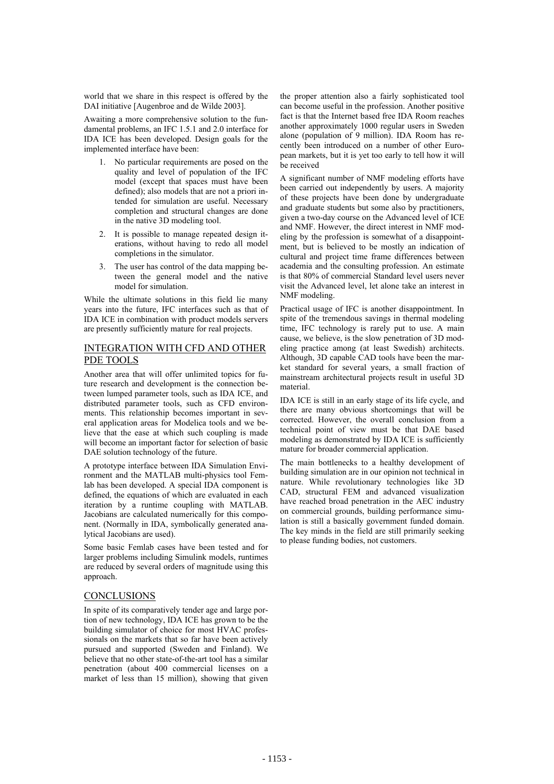world that we share in this respect is offered by the DAI initiative [Augenbroe and de Wilde 2003].

Awaiting a more comprehensive solution to the fundamental problems, an IFC 1.5.1 and 2.0 interface for IDA ICE has been developed. Design goals for the implemented interface have been:

- 1. No particular requirements are posed on the quality and level of population of the IFC model (except that spaces must have been defined); also models that are not a priori intended for simulation are useful. Necessary completion and structural changes are done in the native 3D modeling tool.
- 2. It is possible to manage repeated design iterations, without having to redo all model completions in the simulator.
- 3. The user has control of the data mapping between the general model and the native model for simulation.

While the ultimate solutions in this field lie many years into the future, IFC interfaces such as that of IDA ICE in combination with product models servers are presently sufficiently mature for real projects.

## INTEGRATION WITH CFD AND OTHER PDE TOOLS

Another area that will offer unlimited topics for future research and development is the connection between lumped parameter tools, such as IDA ICE, and distributed parameter tools, such as CFD environments. This relationship becomes important in several application areas for Modelica tools and we believe that the ease at which such coupling is made will become an important factor for selection of basic DAE solution technology of the future.

A prototype interface between IDA Simulation Environment and the MATLAB multi-physics tool Femlab has been developed. A special IDA component is defined, the equations of which are evaluated in each iteration by a runtime coupling with MATLAB. Jacobians are calculated numerically for this component. (Normally in IDA, symbolically generated analytical Jacobians are used).

Some basic Femlab cases have been tested and for larger problems including Simulink models, runtimes are reduced by several orders of magnitude using this approach.

#### CONCLUSIONS

In spite of its comparatively tender age and large portion of new technology, IDA ICE has grown to be the building simulator of choice for most HVAC professionals on the markets that so far have been actively pursued and supported (Sweden and Finland). We believe that no other state-of-the-art tool has a similar penetration (about 400 commercial licenses on a market of less than 15 million), showing that given the proper attention also a fairly sophisticated tool can become useful in the profession. Another positive fact is that the Internet based free IDA Room reaches another approximately 1000 regular users in Sweden alone (population of 9 million). IDA Room has recently been introduced on a number of other European markets, but it is yet too early to tell how it will be received

A significant number of NMF modeling efforts have been carried out independently by users. A majority of these projects have been done by undergraduate and graduate students but some also by practitioners, given a two-day course on the Advanced level of ICE and NMF. However, the direct interest in NMF modeling by the profession is somewhat of a disappointment, but is believed to be mostly an indication of cultural and project time frame differences between academia and the consulting profession. An estimate is that 80% of commercial Standard level users never visit the Advanced level, let alone take an interest in NMF modeling.

Practical usage of IFC is another disappointment. In spite of the tremendous savings in thermal modeling time, IFC technology is rarely put to use. A main cause, we believe, is the slow penetration of 3D modeling practice among (at least Swedish) architects. Although, 3D capable CAD tools have been the market standard for several years, a small fraction of mainstream architectural projects result in useful 3D material.

IDA ICE is still in an early stage of its life cycle, and there are many obvious shortcomings that will be corrected. However, the overall conclusion from a technical point of view must be that DAE based modeling as demonstrated by IDA ICE is sufficiently mature for broader commercial application.

The main bottlenecks to a healthy development of building simulation are in our opinion not technical in nature. While revolutionary technologies like 3D CAD, structural FEM and advanced visualization have reached broad penetration in the AEC industry on commercial grounds, building performance simulation is still a basically government funded domain. The key minds in the field are still primarily seeking to please funding bodies, not customers.